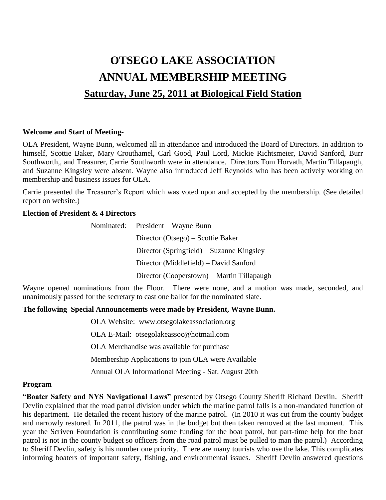# **OTSEGO LAKE ASSOCIATION ANNUAL MEMBERSHIP MEETING Saturday, June 25, 2011 at Biological Field Station**

#### **Welcome and Start of Meeting-**

OLA President, Wayne Bunn, welcomed all in attendance and introduced the Board of Directors. In addition to himself, Scottie Baker, Mary Crouthamel, Carl Good, Paul Lord, Mickie Richtsmeier, David Sanford, Burr Southworth,, and Treasurer, Carrie Southworth were in attendance. Directors Tom Horvath, Martin Tillapaugh, and Suzanne Kingsley were absent. Wayne also introduced Jeff Reynolds who has been actively working on membership and business issues for OLA.

Carrie presented the Treasurer's Report which was voted upon and accepted by the membership. (See detailed report on website.)

## **Election of President & 4 Directors**

|  | Nominated: President – Wayne Bunn          |
|--|--------------------------------------------|
|  | Director (Otsego) – Scottie Baker          |
|  | Director (Springfield) – Suzanne Kingsley  |
|  | Director (Middlefield) – David Sanford     |
|  | Director (Cooperstown) – Martin Tillapaugh |

Wayne opened nominations from the Floor. There were none, and a motion was made, seconded, and unanimously passed for the secretary to cast one ballot for the nominated slate.

## **The following Special Announcements were made by President, Wayne Bunn.**

OLA Website: [www.otsegolakeassociation.org](http://www.otsegolakeassociation.org/) OLA E-Mail: otsegolakeassoc@hotmail.com OLA Merchandise was available for purchase Membership Applications to join OLA were Available Annual OLA Informational Meeting - Sat. August 20th

#### **Program**

**"Boater Safety and NYS Navigational Laws"** presented by Otsego County Sheriff Richard Devlin. Sheriff Devlin explained that the road patrol division under which the marine patrol falls is a non-mandated function of his department. He detailed the recent history of the marine patrol. (In 2010 it was cut from the county budget and narrowly restored. In 2011, the patrol was in the budget but then taken removed at the last moment. This year the Scriven Foundation is contributing some funding for the boat patrol, but part-time help for the boat patrol is not in the county budget so officers from the road patrol must be pulled to man the patrol.) According to Sheriff Devlin, safety is his number one priority. There are many tourists who use the lake. This complicates informing boaters of important safety, fishing, and environmental issues. Sheriff Devlin answered questions